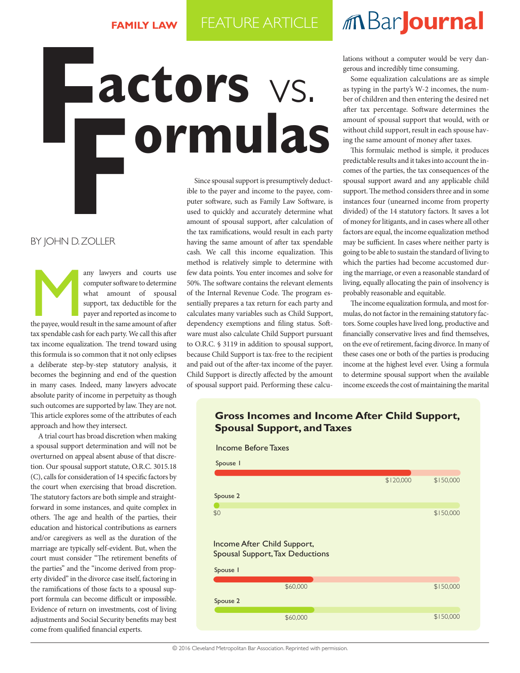## $M$ Bar**Journal**

## **Factors** vs.

## By John D. Zoller

any lawyers and courts use<br>
computer software to determine<br>
what amount of spousal<br>
support, tax deductible for the<br>
payer and reported as income to<br>
the payee, would result in the same amount of after computer software to determine what amount of spousal support, tax deductible for the payer and reported as income to tax spendable cash for each party. We call this after tax income equalization. The trend toward using this formula is so common that it not only eclipses a deliberate step-by-step statutory analysis, it becomes the beginning and end of the question in many cases. Indeed, many lawyers advocate absolute parity of income in perpetuity as though such outcomes are supported by law. They are not. This article explores some of the attributes of each approach and how they intersect.

A trial court has broad discretion when making a spousal support determination and will not be overturned on appeal absent abuse of that discretion. Our spousal support statute, O.R.C. 3015.18 (C), calls for consideration of 14 specific factors by the court when exercising that broad discretion. The statutory factors are both simple and straightforward in some instances, and quite complex in others. The age and health of the parties, their education and historical contributions as earners and/or caregivers as well as the duration of the marriage are typically self-evident. But, when the court must consider "The retirement benefits of the parties" and the "income derived from property divided" in the divorce case itself, factoring in the ramifications of those facts to a spousal support formula can become difficult or impossible. Evidence of return on investments, cost of living adjustments and Social Security benefits may best come from qualified financial experts.

Since spousal support is presumptively deductible to the payer and income to the payee, computer software, such as Family Law Software, is used to quickly and accurately determine what amount of spousal support, after calculation of the tax ramifications, would result in each party having the same amount of after tax spendable cash. We call this income equalization. This method is relatively simple to determine with few data points. You enter incomes and solve for 50%. The software contains the relevant elements of the Internal Revenue Code. The program essentially prepares a tax return for each party and calculates many variables such as Child Support, dependency exemptions and filing status. Software must also calculate Child Support pursuant to O.R.C. § 3119 in addition to spousal support, because Child Support is tax-free to the recipient and paid out of the after-tax income of the payer. Child Support is directly affected by the amount of spousal support paid. Performing these calculations without a computer would be very dangerous and incredibly time consuming.

Some equalization calculations are as simple as typing in the party's W-2 incomes, the number of children and then entering the desired net after tax percentage. Software determines the amount of spousal support that would, with or without child support, result in each spouse having the same amount of money after taxes.

This formulaic method is simple, it produces predictable results and it takes into account the incomes of the parties, the tax consequences of the spousal support award and any applicable child support. The method considers three and in some instances four (unearned income from property divided) of the 14 statutory factors. It saves a lot of money for litigants, and in cases where all other factors are equal, the income equalization method may be sufficient. In cases where neither party is going to be able to sustain the standard of living to which the parties had become accustomed during the marriage, or even a reasonable standard of living, equally allocating the pain of insolvency is probably reasonable and equitable.

The income equalization formula, and most formulas, do not factor in the remaining statutory factors. Some couples have lived long, productive and financially conservative lives and find themselves, on the eve of retirement, facing divorce. In many of these cases one or both of the parties is producing income at the highest level ever. Using a formula to determine spousal support when the available income exceeds the cost of maintaining the marital

## **Gross Incomes and Income After Child Support, Spousal Support, and Taxes**

Income Before Taxes Spouse 2 Spouse 1 \$120,000 \$150,000 \$0 Income After Child Support, Spousal Support, Tax Deductions Spouse 1 \$60,000 \$150,000 Spouse 2 \$150,000 \$150,000 \$150,000